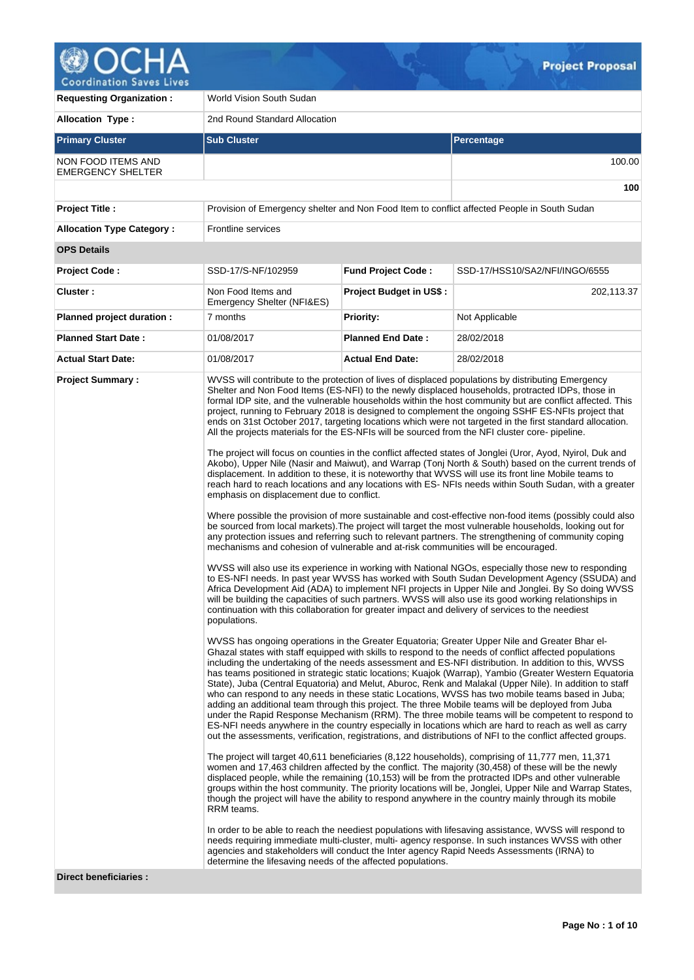

**Requesting Organization : World Vision South Sudan Allocation Type :** 2nd Round Standard Allocation **Primary Cluster Sub Cluster Sub Cluster** Sub Cluster Sub Cluster Sub Cluster Sub Cluster Sub Cluster Sub Cluster NON FOOD ITEMS AND EMERGENCY SHELTER 100.00 **100 Project Title :** Provision of Emergency shelter and Non Food Item to conflict affected People in South Sudan **Allocation Type Category :** Frontline services **OPS Details Project Code :** SSD-17/S-NF/102959 **Fund Project Code :** SSD-17/HSS10/SA2/NFI/INGO/6555 **Cluster :** Non Food Items and Emergency Shelter (NFI&ES) **Project Budget in US\$ :** 202,113.37 **Planned project duration :** 7 months **Priority:** Not Applicable **Planned Start Date :** 01/08/2017 **Planned End Date :** 28/02/2018 **Actual Start Date:** 01/08/2017 **Actual End Date:** 28/02/2018 **Project Summary :** WVSS will contribute to the protection of lives of displaced populations by distributing Emergency Shelter and Non Food Items (ES-NFI) to the newly displaced households, protracted IDPs, those in formal IDP site, and the vulnerable households within the host community but are conflict affected. This project, running to February 2018 is designed to complement the ongoing SSHF ES-NFIs project that ends on 31st October 2017, targeting locations which were not targeted in the first standard allocation. All the projects materials for the ES-NFIs will be sourced from the NFI cluster core- pipeline. The project will focus on counties in the conflict affected states of Jonglei (Uror, Ayod, Nyirol, Duk and Akobo), Upper Nile (Nasir and Maiwut), and Warrap (Tonj North & South) based on the current trends of displacement. In addition to these, it is noteworthy that WVSS will use its front line Mobile teams to reach hard to reach locations and any locations with ES- NFIs needs within South Sudan, with a greater emphasis on displacement due to conflict. Where possible the provision of more sustainable and cost-effective non-food items (possibly could also be sourced from local markets).The project will target the most vulnerable households, looking out for any protection issues and referring such to relevant partners. The strengthening of community coping mechanisms and cohesion of vulnerable and at-risk communities will be encouraged. WVSS will also use its experience in working with National NGOs, especially those new to responding to ES-NFI needs. In past year WVSS has worked with South Sudan Development Agency (SSUDA) and Africa Development Aid (ADA) to implement NFI projects in Upper Nile and Jonglei. By So doing WVSS will be building the capacities of such partners. WVSS will also use its good working relationships in continuation with this collaboration for greater impact and delivery of services to the neediest populations. WVSS has ongoing operations in the Greater Equatoria; Greater Upper Nile and Greater Bhar el-Ghazal states with staff equipped with skills to respond to the needs of conflict affected populations including the undertaking of the needs assessment and ES-NFI distribution. In addition to this, WVSS has teams positioned in strategic static locations; Kuajok (Warrap), Yambio (Greater Western Equatoria State), Juba (Central Equatoria) and Melut, Aburoc, Renk and Malakal (Upper Nile). In addition to staff who can respond to any needs in these static Locations, WVSS has two mobile teams based in Juba; adding an additional team through this project. The three Mobile teams will be deployed from Juba under the Rapid Response Mechanism (RRM). The three mobile teams will be competent to respond to ES-NFI needs anywhere in the country especially in locations which are hard to reach as well as carry out the assessments, verification, registrations, and distributions of NFI to the conflict affected groups. The project will target 40,611 beneficiaries (8,122 households), comprising of 11,777 men, 11,371 women and 17,463 children affected by the conflict. The majority (30,458) of these will be the newly displaced people, while the remaining (10,153) will be from the protracted IDPs and other vulnerable groups within the host community. The priority locations will be, Jonglei, Upper Nile and Warrap States, though the project will have the ability to respond anywhere in the country mainly through its mobile RRM teams. In order to be able to reach the neediest populations with lifesaving assistance, WVSS will respond to needs requiring immediate multi-cluster, multi- agency response. In such instances WVSS with other agencies and stakeholders will conduct the Inter agency Rapid Needs Assessments (IRNA) to determine the lifesaving needs of the affected populations.

**Direct beneficiaries :**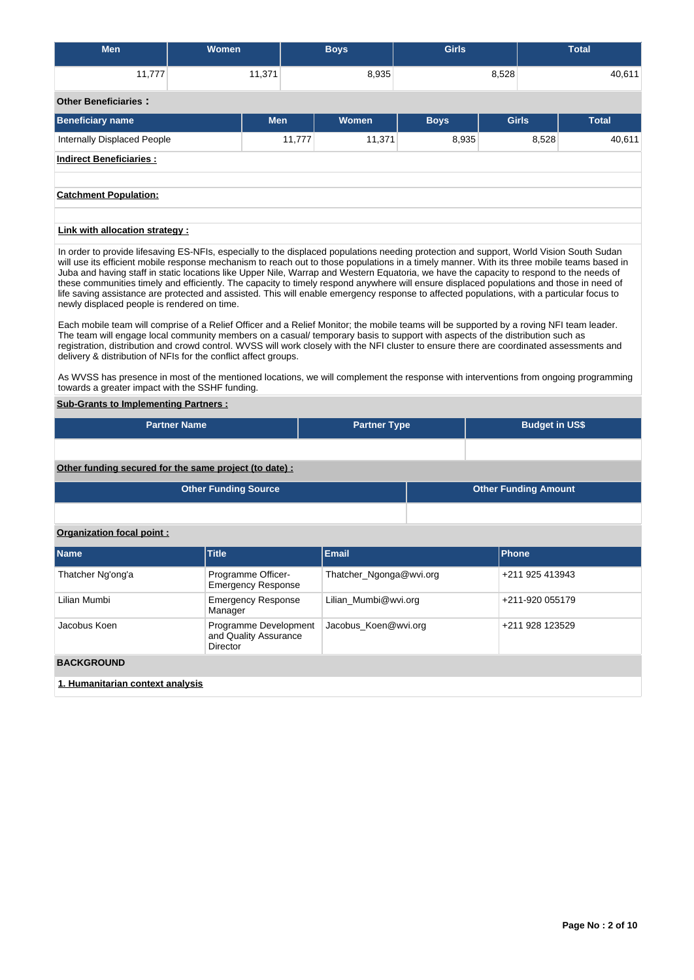| <b>Men</b>                      | Women      |        | <b>Boys</b> | <b>Girls</b> |              |       | <b>Total</b> |
|---------------------------------|------------|--------|-------------|--------------|--------------|-------|--------------|
| 11,777                          | 11,371     |        | 8,935       |              | 8,528        |       | 40,611       |
| <b>Other Beneficiaries:</b>     |            |        |             |              |              |       |              |
| <b>Beneficiary name</b>         | <b>Men</b> |        | Women       | <b>Boys</b>  | <b>Girls</b> |       | <b>Total</b> |
| Internally Displaced People     |            | 11,777 | 11,371      | 8,935        |              | 8,528 | 40,611       |
| <b>Indirect Beneficiaries:</b>  |            |        |             |              |              |       |              |
| <b>Catchment Population:</b>    |            |        |             |              |              |       |              |
| Link with allocation strategy : |            |        |             |              |              |       |              |

In order to provide lifesaving ES-NFIs, especially to the displaced populations needing protection and support, World Vision South Sudan will use its efficient mobile response mechanism to reach out to those populations in a timely manner. With its three mobile teams based in Juba and having staff in static locations like Upper Nile, Warrap and Western Equatoria, we have the capacity to respond to the needs of these communities timely and efficiently. The capacity to timely respond anywhere will ensure displaced populations and those in need of life saving assistance are protected and assisted. This will enable emergency response to affected populations, with a particular focus to newly displaced people is rendered on time.

Each mobile team will comprise of a Relief Officer and a Relief Monitor; the mobile teams will be supported by a roving NFI team leader. The team will engage local community members on a casual/ temporary basis to support with aspects of the distribution such as registration, distribution and crowd control. WVSS will work closely with the NFI cluster to ensure there are coordinated assessments and delivery & distribution of NFIs for the conflict affect groups.

As WVSS has presence in most of the mentioned locations, we will complement the response with interventions from ongoing programming towards a greater impact with the SSHF funding.

# **Sub-Grants to Implementing Partners :**

| <b>Partner Name</b>                                   | <b>Partner Type</b> | <b>Budget in US\$</b>       |
|-------------------------------------------------------|---------------------|-----------------------------|
|                                                       |                     |                             |
| Other funding secured for the same project (to date): |                     |                             |
| <b>Other Funding Source</b>                           |                     | <b>Other Funding Amount</b> |
|                                                       |                     |                             |

# **Organization focal point :**

| <b>Name</b>       | <b>Title</b>                                               | <b>Email</b>            | <b>Phone</b>    |  |  |  |  |  |  |  |
|-------------------|------------------------------------------------------------|-------------------------|-----------------|--|--|--|--|--|--|--|
| Thatcher Ng'ong'a | Programme Officer-<br><b>Emergency Response</b>            | Thatcher_Ngonga@wvi.org | +211 925 413943 |  |  |  |  |  |  |  |
| Lilian Mumbi      | <b>Emergency Response</b><br>Manager                       | Lilian Mumbi@wvi.org    | +211-920 055179 |  |  |  |  |  |  |  |
| Jacobus Koen      | Programme Development<br>and Quality Assurance<br>Director | Jacobus_Koen@wvi.org    | +211 928 123529 |  |  |  |  |  |  |  |
| <b>BACKGROUND</b> |                                                            |                         |                 |  |  |  |  |  |  |  |
|                   | 1. Humanitarian context analysis                           |                         |                 |  |  |  |  |  |  |  |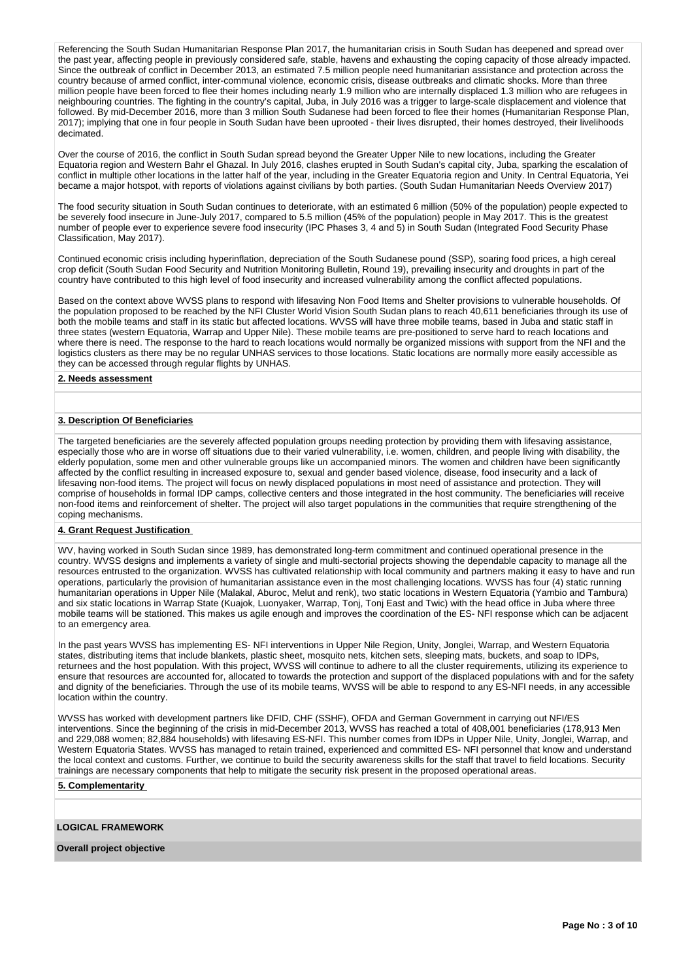Referencing the South Sudan Humanitarian Response Plan 2017, the humanitarian crisis in South Sudan has deepened and spread over the past year, affecting people in previously considered safe, stable, havens and exhausting the coping capacity of those already impacted. Since the outbreak of conflict in December 2013, an estimated 7.5 million people need humanitarian assistance and protection across the country because of armed conflict, inter-communal violence, economic crisis, disease outbreaks and climatic shocks. More than three million people have been forced to flee their homes including nearly 1.9 million who are internally displaced 1.3 million who are refugees in neighbouring countries. The fighting in the country's capital, Juba, in July 2016 was a trigger to large-scale displacement and violence that followed. By mid-December 2016, more than 3 million South Sudanese had been forced to flee their homes (Humanitarian Response Plan, 2017); implying that one in four people in South Sudan have been uprooted - their lives disrupted, their homes destroyed, their livelihoods decimated.

Over the course of 2016, the conflict in South Sudan spread beyond the Greater Upper Nile to new locations, including the Greater Equatoria region and Western Bahr el Ghazal. In July 2016, clashes erupted in South Sudan's capital city, Juba, sparking the escalation of conflict in multiple other locations in the latter half of the year, including in the Greater Equatoria region and Unity. In Central Equatoria, Yei became a major hotspot, with reports of violations against civilians by both parties. (South Sudan Humanitarian Needs Overview 2017)

The food security situation in South Sudan continues to deteriorate, with an estimated 6 million (50% of the population) people expected to be severely food insecure in June-July 2017, compared to 5.5 million (45% of the population) people in May 2017. This is the greatest number of people ever to experience severe food insecurity (IPC Phases 3, 4 and 5) in South Sudan (Integrated Food Security Phase Classification, May 2017).

Continued economic crisis including hyperinflation, depreciation of the South Sudanese pound (SSP), soaring food prices, a high cereal crop deficit (South Sudan Food Security and Nutrition Monitoring Bulletin, Round 19), prevailing insecurity and droughts in part of the country have contributed to this high level of food insecurity and increased vulnerability among the conflict affected populations.

Based on the context above WVSS plans to respond with lifesaving Non Food Items and Shelter provisions to vulnerable households. Of the population proposed to be reached by the NFI Cluster World Vision South Sudan plans to reach 40,611 beneficiaries through its use of both the mobile teams and staff in its static but affected locations. WVSS will have three mobile teams, based in Juba and static staff in three states (western Equatoria, Warrap and Upper Nile). These mobile teams are pre-positioned to serve hard to reach locations and where there is need. The response to the hard to reach locations would normally be organized missions with support from the NFI and the logistics clusters as there may be no regular UNHAS services to those locations. Static locations are normally more easily accessible as they can be accessed through regular flights by UNHAS.

### **2. Needs assessment**

### **3. Description Of Beneficiaries**

The targeted beneficiaries are the severely affected population groups needing protection by providing them with lifesaving assistance, especially those who are in worse off situations due to their varied vulnerability, i.e. women, children, and people living with disability, the elderly population, some men and other vulnerable groups like un accompanied minors. The women and children have been significantly affected by the conflict resulting in increased exposure to, sexual and gender based violence, disease, food insecurity and a lack of lifesaving non-food items. The project will focus on newly displaced populations in most need of assistance and protection. They will comprise of households in formal IDP camps, collective centers and those integrated in the host community. The beneficiaries will receive non-food items and reinforcement of shelter. The project will also target populations in the communities that require strengthening of the coping mechanisms.

# **4. Grant Request Justification**

WV, having worked in South Sudan since 1989, has demonstrated long-term commitment and continued operational presence in the country. WVSS designs and implements a variety of single and multi-sectorial projects showing the dependable capacity to manage all the resources entrusted to the organization. WVSS has cultivated relationship with local community and partners making it easy to have and run operations, particularly the provision of humanitarian assistance even in the most challenging locations. WVSS has four (4) static running humanitarian operations in Upper Nile (Malakal, Aburoc, Melut and renk), two static locations in Western Equatoria (Yambio and Tambura) and six static locations in Warrap State (Kuajok, Luonyaker, Warrap, Tonj, Tonj East and Twic) with the head office in Juba where three mobile teams will be stationed. This makes us agile enough and improves the coordination of the ES- NFI response which can be adjacent to an emergency area.

In the past years WVSS has implementing ES- NFI interventions in Upper Nile Region, Unity, Jonglei, Warrap, and Western Equatoria states, distributing items that include blankets, plastic sheet, mosquito nets, kitchen sets, sleeping mats, buckets, and soap to IDPs, returnees and the host population. With this project, WVSS will continue to adhere to all the cluster requirements, utilizing its experience to ensure that resources are accounted for, allocated to towards the protection and support of the displaced populations with and for the safety and dignity of the beneficiaries. Through the use of its mobile teams, WVSS will be able to respond to any ES-NFI needs, in any accessible location within the country.

WVSS has worked with development partners like DFID, CHF (SSHF), OFDA and German Government in carrying out NFI/ES interventions. Since the beginning of the crisis in mid-December 2013, WVSS has reached a total of 408,001 beneficiaries (178,913 Men and 229,088 women; 82,884 households) with lifesaving ES-NFI. This number comes from IDPs in Upper Nile, Unity, Jonglei, Warrap, and Western Equatoria States. WVSS has managed to retain trained, experienced and committed ES- NFI personnel that know and understand the local context and customs. Further, we continue to build the security awareness skills for the staff that travel to field locations. Security trainings are necessary components that help to mitigate the security risk present in the proposed operational areas.

### **5. Complementarity**

## **LOGICAL FRAMEWORK**

**Overall project objective**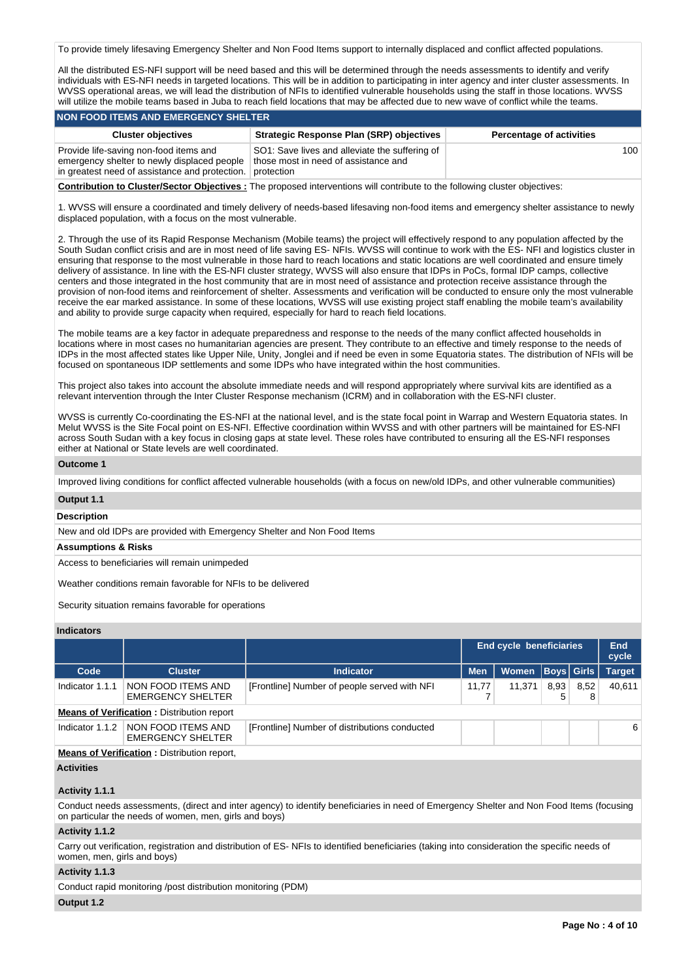To provide timely lifesaving Emergency Shelter and Non Food Items support to internally displaced and conflict affected populations.

All the distributed ES-NFI support will be need based and this will be determined through the needs assessments to identify and verify individuals with ES-NFI needs in targeted locations. This will be in addition to participating in inter agency and inter cluster assessments. In WVSS operational areas, we will lead the distribution of NFIs to identified vulnerable households using the staff in those locations. WVSS will utilize the mobile teams based in Juba to reach field locations that may be affected due to new wave of conflict while the teams.

### **NON FOOD ITEMS AND EMERGENCY SHELTER**

| <b>Cluster objectives</b>                                                             | <b>Strategic Response Plan (SRP) objectives</b>                                        | <b>Percentage of activities</b> |
|---------------------------------------------------------------------------------------|----------------------------------------------------------------------------------------|---------------------------------|
| Provide life-saving non-food items and<br>emergency shelter to newly displaced people | SO1: Save lives and alleviate the suffering of<br>those most in need of assistance and | 100                             |
| in greatest need of assistance and protection.                                        | protection                                                                             |                                 |

**Contribution to Cluster/Sector Objectives :** The proposed interventions will contribute to the following cluster objectives:

1. WVSS will ensure a coordinated and timely delivery of needs-based lifesaving non-food items and emergency shelter assistance to newly displaced population, with a focus on the most vulnerable.

2. Through the use of its Rapid Response Mechanism (Mobile teams) the project will effectively respond to any population affected by the South Sudan conflict crisis and are in most need of life saving ES- NFIs. WVSS will continue to work with the ES- NFI and logistics cluster in ensuring that response to the most vulnerable in those hard to reach locations and static locations are well coordinated and ensure timely delivery of assistance. In line with the ES-NFI cluster strategy, WVSS will also ensure that IDPs in PoCs, formal IDP camps, collective centers and those integrated in the host community that are in most need of assistance and protection receive assistance through the provision of non-food items and reinforcement of shelter. Assessments and verification will be conducted to ensure only the most vulnerable receive the ear marked assistance. In some of these locations, WVSS will use existing project staff enabling the mobile team's availability and ability to provide surge capacity when required, especially for hard to reach field locations.

The mobile teams are a key factor in adequate preparedness and response to the needs of the many conflict affected households in locations where in most cases no humanitarian agencies are present. They contribute to an effective and timely response to the needs of IDPs in the most affected states like Upper Nile, Unity, Jonglei and if need be even in some Equatoria states. The distribution of NFIs will be focused on spontaneous IDP settlements and some IDPs who have integrated within the host communities.

This project also takes into account the absolute immediate needs and will respond appropriately where survival kits are identified as a relevant intervention through the Inter Cluster Response mechanism (ICRM) and in collaboration with the ES-NFI cluster.

WVSS is currently Co-coordinating the ES-NFI at the national level, and is the state focal point in Warrap and Western Equatoria states. In Melut WVSS is the Site Focal point on ES-NFI. Effective coordination within WVSS and with other partners will be maintained for ES-NFI across South Sudan with a key focus in closing gaps at state level. These roles have contributed to ensuring all the ES-NFI responses either at National or State levels are well coordinated.

### **Outcome 1**

Improved living conditions for conflict affected vulnerable households (with a focus on new/old IDPs, and other vulnerable communities)

### **Output 1.1**

# **Description**

New and old IDPs are provided with Emergency Shelter and Non Food Items

## **Assumptions & Risks**

Access to beneficiaries will remain unimpeded

Weather conditions remain favorable for NFIs to be delivered

Security situation remains favorable for operations

## **Indicators**

|                                                    |                                                   |                                               |            | <b>End cycle beneficiaries</b> |           |                   | <b>End</b><br>cycle |  |  |
|----------------------------------------------------|---------------------------------------------------|-----------------------------------------------|------------|--------------------------------|-----------|-------------------|---------------------|--|--|
| Code                                               | <b>Cluster</b>                                    | <b>Indicator</b>                              | <b>Men</b> | Women                          |           | <b>Boys Girls</b> | <b>Target</b>       |  |  |
| Indicator 1.1.1                                    | NON FOOD ITEMS AND<br><b>EMERGENCY SHELTER</b>    | [Frontline] Number of people served with NFI  | 11,77      | 11,371                         | 8,93<br>5 | 8,52<br>8         | 40.611              |  |  |
|                                                    | <b>Means of Verification: Distribution report</b> |                                               |            |                                |           |                   |                     |  |  |
| Indicator 1.1.2                                    | NON FOOD ITEMS AND<br><b>EMERGENCY SHELTER</b>    | [Frontline] Number of distributions conducted |            |                                |           |                   | 6                   |  |  |
| <b>Means of Verification: Distribution report,</b> |                                                   |                                               |            |                                |           |                   |                     |  |  |

### **Activities**

### **Activity 1.1.1**

Conduct needs assessments, (direct and inter agency) to identify beneficiaries in need of Emergency Shelter and Non Food Items (focusing on particular the needs of women, men, girls and boys)

## **Activity 1.1.2**

Carry out verification, registration and distribution of ES- NFIs to identified beneficiaries (taking into consideration the specific needs of women, men, girls and boys)

# **Activity 1.1.3**

Conduct rapid monitoring /post distribution monitoring (PDM)

## **Output 1.2**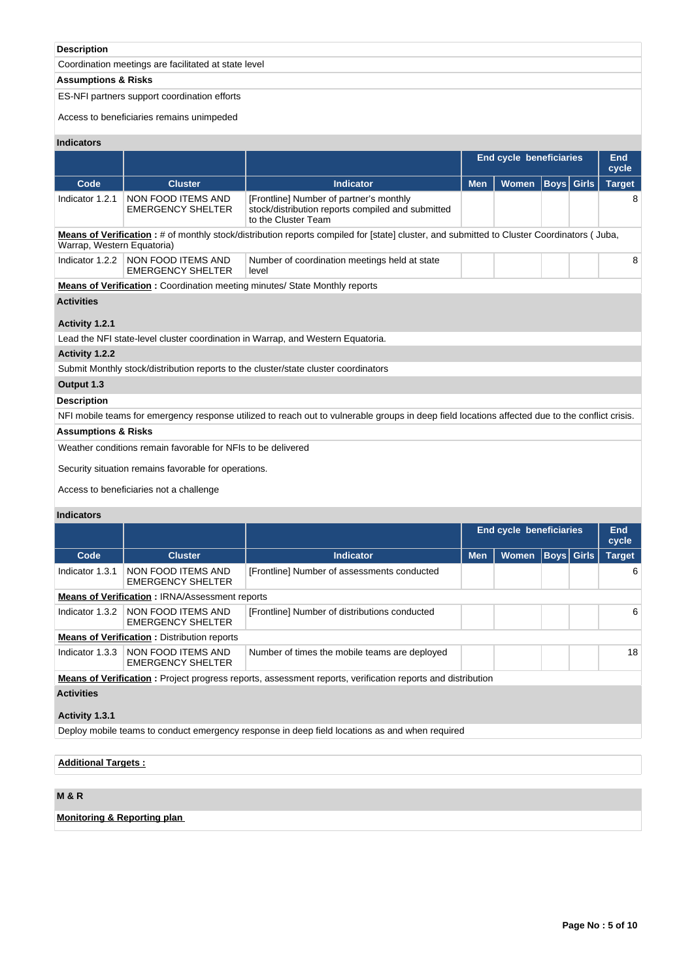# **Description**

Coordination meetings are facilitated at state level

# **Assumptions & Risks**

# ES-NFI partners support coordination efforts

Access to beneficiaries remains unimpeded

# **Indicators**

|                                                                                                                                                 |                                                                                                                         |                                                                                                                                           |            | <b>End cycle beneficiaries</b> |                   |              | End           |  |  |  |  |  |
|-------------------------------------------------------------------------------------------------------------------------------------------------|-------------------------------------------------------------------------------------------------------------------------|-------------------------------------------------------------------------------------------------------------------------------------------|------------|--------------------------------|-------------------|--------------|---------------|--|--|--|--|--|
|                                                                                                                                                 |                                                                                                                         |                                                                                                                                           |            |                                |                   |              | cycle         |  |  |  |  |  |
| Code                                                                                                                                            | <b>Cluster</b>                                                                                                          | <b>Indicator</b>                                                                                                                          | <b>Men</b> | <b>Women</b>                   | <b>Boys</b> Girls |              | <b>Target</b> |  |  |  |  |  |
| Indicator 1.2.1                                                                                                                                 | NON FOOD ITEMS AND<br><b>EMERGENCY SHELTER</b>                                                                          | [Frontline] Number of partner's monthly<br>stock/distribution reports compiled and submitted<br>to the Cluster Team                       |            |                                |                   |              | 8             |  |  |  |  |  |
| Warrap, Western Equatoria)                                                                                                                      |                                                                                                                         | Means of Verification: # of monthly stock/distribution reports compiled for [state] cluster, and submitted to Cluster Coordinators (Juba, |            |                                |                   |              |               |  |  |  |  |  |
| Indicator 1.2.2                                                                                                                                 | NON FOOD ITEMS AND<br><b>EMERGENCY SHELTER</b>                                                                          | Number of coordination meetings held at state<br>level                                                                                    |            |                                |                   |              | 8             |  |  |  |  |  |
|                                                                                                                                                 |                                                                                                                         | <b>Means of Verification:</b> Coordination meeting minutes/ State Monthly reports                                                         |            |                                |                   |              |               |  |  |  |  |  |
| <b>Activities</b>                                                                                                                               |                                                                                                                         |                                                                                                                                           |            |                                |                   |              |               |  |  |  |  |  |
| Activity 1.2.1                                                                                                                                  |                                                                                                                         |                                                                                                                                           |            |                                |                   |              |               |  |  |  |  |  |
|                                                                                                                                                 |                                                                                                                         | Lead the NFI state-level cluster coordination in Warrap, and Western Equatoria.                                                           |            |                                |                   |              |               |  |  |  |  |  |
| Activity 1.2.2                                                                                                                                  |                                                                                                                         |                                                                                                                                           |            |                                |                   |              |               |  |  |  |  |  |
|                                                                                                                                                 |                                                                                                                         | Submit Monthly stock/distribution reports to the cluster/state cluster coordinators                                                       |            |                                |                   |              |               |  |  |  |  |  |
| Output 1.3                                                                                                                                      |                                                                                                                         |                                                                                                                                           |            |                                |                   |              |               |  |  |  |  |  |
| <b>Description</b>                                                                                                                              |                                                                                                                         |                                                                                                                                           |            |                                |                   |              |               |  |  |  |  |  |
| NFI mobile teams for emergency response utilized to reach out to vulnerable groups in deep field locations affected due to the conflict crisis. |                                                                                                                         |                                                                                                                                           |            |                                |                   |              |               |  |  |  |  |  |
| <b>Assumptions &amp; Risks</b>                                                                                                                  |                                                                                                                         |                                                                                                                                           |            |                                |                   |              |               |  |  |  |  |  |
| Weather conditions remain favorable for NFIs to be delivered                                                                                    |                                                                                                                         |                                                                                                                                           |            |                                |                   |              |               |  |  |  |  |  |
| Security situation remains favorable for operations.                                                                                            |                                                                                                                         |                                                                                                                                           |            |                                |                   |              |               |  |  |  |  |  |
|                                                                                                                                                 | Access to beneficiaries not a challenge                                                                                 |                                                                                                                                           |            |                                |                   |              |               |  |  |  |  |  |
| <b>Indicators</b>                                                                                                                               |                                                                                                                         |                                                                                                                                           |            |                                |                   |              |               |  |  |  |  |  |
|                                                                                                                                                 |                                                                                                                         |                                                                                                                                           |            | <b>End cycle beneficiaries</b> |                   |              | End<br>cycle  |  |  |  |  |  |
| Code                                                                                                                                            | <b>Cluster</b>                                                                                                          | <b>Indicator</b>                                                                                                                          | <b>Men</b> | <b>Women</b>                   | <b>Boys</b>       | <b>Girls</b> | <b>Target</b> |  |  |  |  |  |
| Indicator 1.3.1                                                                                                                                 | NON FOOD ITEMS AND<br><b>EMERGENCY SHELTER</b>                                                                          | [Frontline] Number of assessments conducted                                                                                               |            |                                |                   |              | 6             |  |  |  |  |  |
|                                                                                                                                                 | <b>Means of Verification: IRNA/Assessment reports</b>                                                                   |                                                                                                                                           |            |                                |                   |              |               |  |  |  |  |  |
| Indicator 1.3.2                                                                                                                                 | NON FOOD ITEMS AND<br><b>EMERGENCY SHELTER</b>                                                                          | [Frontline] Number of distributions conducted                                                                                             |            |                                |                   |              | 6             |  |  |  |  |  |
|                                                                                                                                                 | <b>Means of Verification:</b> Distribution reports                                                                      |                                                                                                                                           |            |                                |                   |              |               |  |  |  |  |  |
|                                                                                                                                                 | Indicator 1.3.3   NON FOOD ITEMS AND<br>Number of times the mobile teams are deployed<br>18<br><b>EMERGENCY SHELTER</b> |                                                                                                                                           |            |                                |                   |              |               |  |  |  |  |  |
|                                                                                                                                                 |                                                                                                                         | <b>Means of Verification</b> : Project progress reports, assessment reports, verification reports and distribution                        |            |                                |                   |              |               |  |  |  |  |  |
| <b>Activities</b>                                                                                                                               |                                                                                                                         |                                                                                                                                           |            |                                |                   |              |               |  |  |  |  |  |
| Activity 1.3.1                                                                                                                                  |                                                                                                                         |                                                                                                                                           |            |                                |                   |              |               |  |  |  |  |  |
|                                                                                                                                                 |                                                                                                                         | Deploy mobile teams to conduct emergency response in deep field locations as and when required                                            |            |                                |                   |              |               |  |  |  |  |  |
|                                                                                                                                                 |                                                                                                                         |                                                                                                                                           |            |                                |                   |              |               |  |  |  |  |  |

# **Additional Targets :**

# **M & R**

**Monitoring & Reporting plan**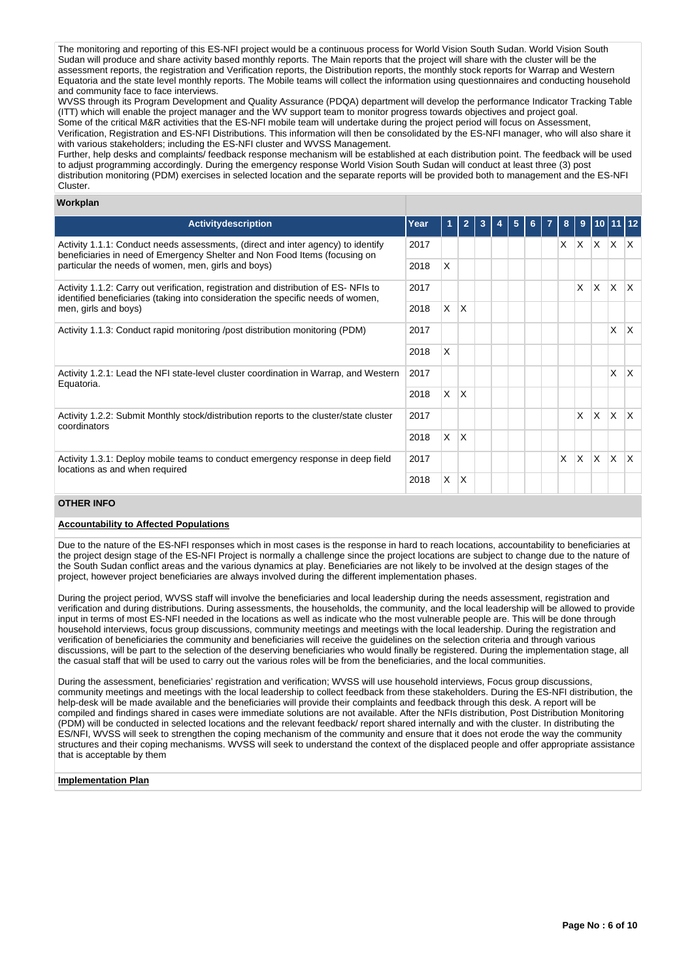The monitoring and reporting of this ES-NFI project would be a continuous process for World Vision South Sudan. World Vision South Sudan will produce and share activity based monthly reports. The Main reports that the project will share with the cluster will be the assessment reports, the registration and Verification reports, the Distribution reports, the monthly stock reports for Warrap and Western Equatoria and the state level monthly reports. The Mobile teams will collect the information using questionnaires and conducting household and community face to face interviews.

WVSS through its Program Development and Quality Assurance (PDQA) department will develop the performance Indicator Tracking Table (ITT) which will enable the project manager and the WV support team to monitor progress towards objectives and project goal. Some of the critical M&R activities that the ES-NFI mobile team will undertake during the project period will focus on Assessment, Verification, Registration and ES-NFI Distributions. This information will then be consolidated by the ES-NFI manager, who will also share it with various stakeholders; including the ES-NFI cluster and WVSS Management.

Further, help desks and complaints/ feedback response mechanism will be established at each distribution point. The feedback will be used to adjust programming accordingly. During the emergency response World Vision South Sudan will conduct at least three (3) post distribution monitoring (PDM) exercises in selected location and the separate reports will be provided both to management and the ES-NFI Cluster.

## **Workplan**

| <b>Activitydescription</b>                                                                                                                                                                                            | Year |     |                         |  |  | 5 | 6. | 8        | 9        | 110 I        |              |              |
|-----------------------------------------------------------------------------------------------------------------------------------------------------------------------------------------------------------------------|------|-----|-------------------------|--|--|---|----|----------|----------|--------------|--------------|--------------|
| Activity 1.1.1: Conduct needs assessments, (direct and inter agency) to identify<br>beneficiaries in need of Emergency Shelter and Non Food Items (focusing on<br>particular the needs of women, men, girls and boys) |      |     |                         |  |  |   |    | $\times$ | <b>X</b> | $\mathsf{X}$ | $X$ $X$      |              |
|                                                                                                                                                                                                                       |      | X   |                         |  |  |   |    |          |          |              |              |              |
| Activity 1.1.2: Carry out verification, registration and distribution of ES-NFIs to<br>identified beneficiaries (taking into consideration the specific needs of women,                                               | 2017 |     |                         |  |  |   |    |          | X        | X            | ΙX.          | ΙX.          |
| men, girls and boys)                                                                                                                                                                                                  |      | IX. | $\mathsf{I} \mathsf{X}$ |  |  |   |    |          |          |              |              |              |
| Activity 1.1.3: Conduct rapid monitoring /post distribution monitoring (PDM)                                                                                                                                          |      |     |                         |  |  |   |    |          |          |              | X            | ΙX.          |
|                                                                                                                                                                                                                       | 2018 | X.  |                         |  |  |   |    |          |          |              |              |              |
| Activity 1.2.1: Lead the NFI state-level cluster coordination in Warrap, and Western<br>Equatoria.                                                                                                                    | 2017 |     |                         |  |  |   |    |          |          |              | X            | ΙX.          |
|                                                                                                                                                                                                                       | 2018 | X.  | ΙX.                     |  |  |   |    |          |          |              |              |              |
| Activity 1.2.2: Submit Monthly stock/distribution reports to the cluster/state cluster<br>coordinators                                                                                                                | 2017 |     |                         |  |  |   |    |          | X        | ΙX.          | $\mathsf{X}$ | ΙX.          |
|                                                                                                                                                                                                                       |      |     | X                       |  |  |   |    |          |          |              |              |              |
| 2017<br>Activity 1.3.1: Deploy mobile teams to conduct emergency response in deep field<br>locations as and when required                                                                                             |      |     |                         |  |  |   |    | X        | X.       | X            | <sup>X</sup> | $\mathsf{X}$ |
|                                                                                                                                                                                                                       | 2018 | X   | X                       |  |  |   |    |          |          |              |              |              |

# **OTHER INFO**

### **Accountability to Affected Populations**

Due to the nature of the ES-NFI responses which in most cases is the response in hard to reach locations, accountability to beneficiaries at the project design stage of the ES-NFI Project is normally a challenge since the project locations are subject to change due to the nature of the South Sudan conflict areas and the various dynamics at play. Beneficiaries are not likely to be involved at the design stages of the project, however project beneficiaries are always involved during the different implementation phases.

During the project period, WVSS staff will involve the beneficiaries and local leadership during the needs assessment, registration and verification and during distributions. During assessments, the households, the community, and the local leadership will be allowed to provide input in terms of most ES-NFI needed in the locations as well as indicate who the most vulnerable people are. This will be done through household interviews, focus group discussions, community meetings and meetings with the local leadership. During the registration and verification of beneficiaries the community and beneficiaries will receive the guidelines on the selection criteria and through various discussions, will be part to the selection of the deserving beneficiaries who would finally be registered. During the implementation stage, all the casual staff that will be used to carry out the various roles will be from the beneficiaries, and the local communities.

During the assessment, beneficiaries' registration and verification; WVSS will use household interviews, Focus group discussions, community meetings and meetings with the local leadership to collect feedback from these stakeholders. During the ES-NFI distribution, the help-desk will be made available and the beneficiaries will provide their complaints and feedback through this desk. A report will be compiled and findings shared in cases were immediate solutions are not available. After the NFIs distribution, Post Distribution Monitoring (PDM) will be conducted in selected locations and the relevant feedback/ report shared internally and with the cluster. In distributing the ES/NFI, WVSS will seek to strengthen the coping mechanism of the community and ensure that it does not erode the way the community structures and their coping mechanisms. WVSS will seek to understand the context of the displaced people and offer appropriate assistance that is acceptable by them

### **Implementation Plan**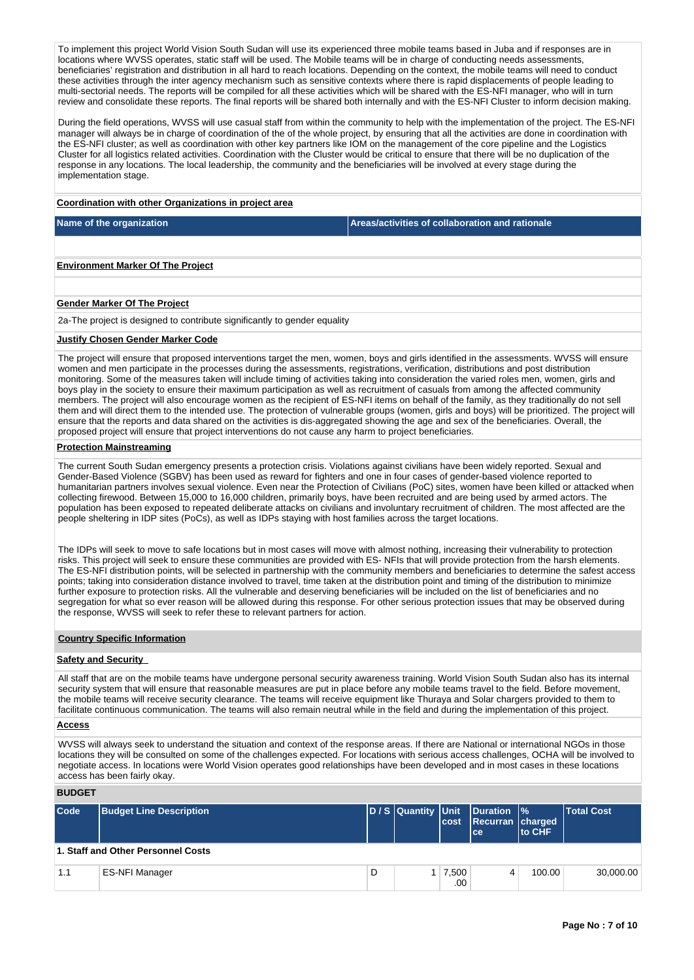To implement this project World Vision South Sudan will use its experienced three mobile teams based in Juba and if responses are in locations where WVSS operates, static staff will be used. The Mobile teams will be in charge of conducting needs assessments, beneficiaries' registration and distribution in all hard to reach locations. Depending on the context, the mobile teams will need to conduct these activities through the inter agency mechanism such as sensitive contexts where there is rapid displacements of people leading to multi-sectorial needs. The reports will be compiled for all these activities which will be shared with the ES-NFI manager, who will in turn review and consolidate these reports. The final reports will be shared both internally and with the ES-NFI Cluster to inform decision making.

During the field operations, WVSS will use casual staff from within the community to help with the implementation of the project. The ES-NFI manager will always be in charge of coordination of the of the whole project, by ensuring that all the activities are done in coordination with the ES-NFI cluster; as well as coordination with other key partners like IOM on the management of the core pipeline and the Logistics Cluster for all logistics related activities. Coordination with the Cluster would be critical to ensure that there will be no duplication of the response in any locations. The local leadership, the community and the beneficiaries will be involved at every stage during the implementation stage.

# **Coordination with other Organizations in project area**

**Name of the organization Areas/activities of collaboration and rationale** 

**Environment Marker Of The Project**

## **Gender Marker Of The Project**

2a-The project is designed to contribute significantly to gender equality

## **Justify Chosen Gender Marker Code**

The project will ensure that proposed interventions target the men, women, boys and girls identified in the assessments. WVSS will ensure women and men participate in the processes during the assessments, registrations, verification, distributions and post distribution monitoring. Some of the measures taken will include timing of activities taking into consideration the varied roles men, women, girls and boys play in the society to ensure their maximum participation as well as recruitment of casuals from among the affected community members. The project will also encourage women as the recipient of ES-NFI items on behalf of the family, as they traditionally do not sell them and will direct them to the intended use. The protection of vulnerable groups (women, girls and boys) will be prioritized. The project will ensure that the reports and data shared on the activities is dis-aggregated showing the age and sex of the beneficiaries. Overall, the proposed project will ensure that project interventions do not cause any harm to project beneficiaries.

## **Protection Mainstreaming**

The current South Sudan emergency presents a protection crisis. Violations against civilians have been widely reported. Sexual and Gender-Based Violence (SGBV) has been used as reward for fighters and one in four cases of gender-based violence reported to humanitarian partners involves sexual violence. Even near the Protection of Civilians (PoC) sites, women have been killed or attacked when collecting firewood. Between 15,000 to 16,000 children, primarily boys, have been recruited and are being used by armed actors. The population has been exposed to repeated deliberate attacks on civilians and involuntary recruitment of children. The most affected are the people sheltering in IDP sites (PoCs), as well as IDPs staying with host families across the target locations.

The IDPs will seek to move to safe locations but in most cases will move with almost nothing, increasing their vulnerability to protection risks. This project will seek to ensure these communities are provided with ES- NFIs that will provide protection from the harsh elements. The ES-NFI distribution points, will be selected in partnership with the community members and beneficiaries to determine the safest access points; taking into consideration distance involved to travel, time taken at the distribution point and timing of the distribution to minimize further exposure to protection risks. All the vulnerable and deserving beneficiaries will be included on the list of beneficiaries and no segregation for what so ever reason will be allowed during this response. For other serious protection issues that may be observed during the response, WVSS will seek to refer these to relevant partners for action.

### **Country Specific Information**

### **Safety and Security**

All staff that are on the mobile teams have undergone personal security awareness training. World Vision South Sudan also has its internal security system that will ensure that reasonable measures are put in place before any mobile teams travel to the field. Before movement, the mobile teams will receive security clearance. The teams will receive equipment like Thuraya and Solar chargers provided to them to facilitate continuous communication. The teams will also remain neutral while in the field and during the implementation of this project.

### **Access**

WVSS will always seek to understand the situation and context of the response areas. If there are National or international NGOs in those locations they will be consulted on some of the challenges expected. For locations with serious access challenges, OCHA will be involved to negotiate access. In locations were World Vision operates good relationships have been developed and in most cases in these locations access has been fairly okay.

### **BUDGET**

| Code | <b>Budget Line Description</b>     |   | D / S Quantity Unit | lcost            | <b>Duration \%</b><br>Recurran charged<br>l ce i | <b>Ito CHF</b> | <b>Total Cost</b> |
|------|------------------------------------|---|---------------------|------------------|--------------------------------------------------|----------------|-------------------|
|      | 1. Staff and Other Personnel Costs |   |                     |                  |                                                  |                |                   |
| 1.1  | <b>ES-NFI Manager</b>              | D |                     | 7,500<br>$.00\%$ |                                                  | 100.00         | 30,000.00         |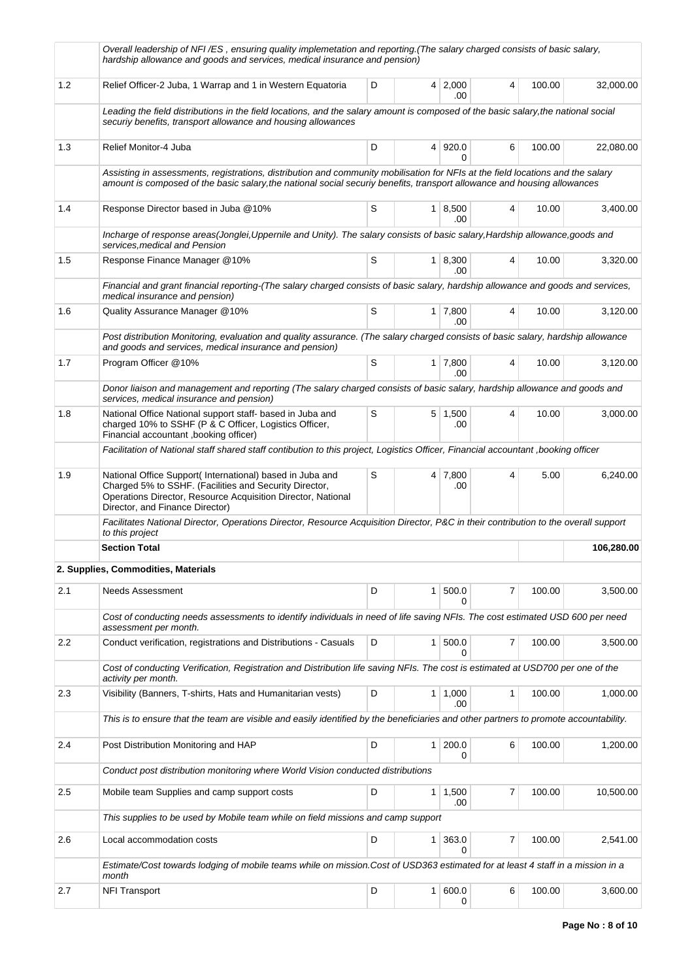|     | Overall leadership of NFI/ES, ensuring quality implemetation and reporting.(The salary charged consists of basic salary,<br>hardship allowance and goods and services, medical insurance and pension)                                                       |   |                |                        |                |        |            |
|-----|-------------------------------------------------------------------------------------------------------------------------------------------------------------------------------------------------------------------------------------------------------------|---|----------------|------------------------|----------------|--------|------------|
| 1.2 | Relief Officer-2 Juba, 1 Warrap and 1 in Western Equatoria                                                                                                                                                                                                  | D | $\overline{4}$ | 2,000<br>.00           | 4              | 100.00 | 32,000.00  |
|     | Leading the field distributions in the field locations, and the salary amount is composed of the basic salary, the national social<br>securiy benefits, transport allowance and housing allowances                                                          |   |                |                        |                |        |            |
| 1.3 | Relief Monitor-4 Juba                                                                                                                                                                                                                                       | D |                | 4 920.0<br>0           | 6              | 100.00 | 22,080.00  |
|     | Assisting in assessments, registrations, distribution and community mobilisation for NFIs at the field locations and the salary<br>amount is composed of the basic salary, the national social securiy benefits, transport allowance and housing allowances |   |                |                        |                |        |            |
| 1.4 | Response Director based in Juba @10%                                                                                                                                                                                                                        | S |                | 1   8,500<br>.00.      | 4              | 10.00  | 3,400.00   |
|     | Incharge of response areas(Jonglei,Uppernile and Unity). The salary consists of basic salary, Hardship allowance,goods and<br>services, medical and Pension                                                                                                 |   |                |                        |                |        |            |
| 1.5 | Response Finance Manager @10%                                                                                                                                                                                                                               | S |                | 1   8,300<br>.00       | 4              | 10.00  | 3,320.00   |
|     | Financial and grant financial reporting-(The salary charged consists of basic salary, hardship allowance and goods and services,<br>medical insurance and pension)                                                                                          |   |                |                        |                |        |            |
| 1.6 | Quality Assurance Manager @10%                                                                                                                                                                                                                              | S |                | $1 \mid 7,800$<br>.00  | 4              | 10.00  | 3,120.00   |
|     | Post distribution Monitoring, evaluation and quality assurance. (The salary charged consists of basic salary, hardship allowance<br>and goods and services, medical insurance and pension)                                                                  |   |                |                        |                |        |            |
| 1.7 | Program Officer @10%                                                                                                                                                                                                                                        | S |                | $1 \mid 7,800$<br>.00. | 4              | 10.00  | 3.120.00   |
|     | Donor liaison and management and reporting (The salary charged consists of basic salary, hardship allowance and goods and<br>services, medical insurance and pension)                                                                                       |   |                |                        |                |        |            |
| 1.8 | National Office National support staff- based in Juba and<br>charged 10% to SSHF (P & C Officer, Logistics Officer,<br>Financial accountant, booking officer)                                                                                               | S |                | $5 \mid 1,500$<br>.00  | 4              | 10.00  | 3,000.00   |
|     | Facilitation of National staff shared staff contibution to this project, Logistics Officer, Financial accountant ,booking officer                                                                                                                           |   |                |                        |                |        |            |
| 1.9 | National Office Support(International) based in Juba and<br>Charged 5% to SSHF. (Facilities and Security Director,<br>Operations Director, Resource Acquisition Director, National<br>Director, and Finance Director)                                       | S |                | $4 \mid 7,800$<br>.00  | 4              | 5.00   | 6,240.00   |
|     | Facilitates National Director, Operations Director, Resource Acquisition Director, P&C in their contribution to the overall support<br>to this project                                                                                                      |   |                |                        |                |        |            |
|     | <b>Section Total</b>                                                                                                                                                                                                                                        |   |                |                        |                |        | 106,280.00 |
|     | 2. Supplies, Commodities, Materials                                                                                                                                                                                                                         |   |                |                        |                |        |            |
| 2.1 | Needs Assessment                                                                                                                                                                                                                                            | D | 1              | 500.0<br>0             | 7              | 100.00 | 3,500.00   |
|     | Cost of conducting needs assessments to identify individuals in need of life saving NFIs. The cost estimated USD 600 per need<br>assessment per month.                                                                                                      |   |                |                        |                |        |            |
| 2.2 | Conduct verification, registrations and Distributions - Casuals                                                                                                                                                                                             | D | 1              | 500.0<br>0             | 7              | 100.00 | 3,500.00   |
|     | Cost of conducting Verification, Registration and Distribution life saving NFIs. The cost is estimated at USD700 per one of the<br>activity per month.                                                                                                      |   |                |                        |                |        |            |
| 2.3 | Visibility (Banners, T-shirts, Hats and Humanitarian vests)                                                                                                                                                                                                 | D |                | $1 \mid 1,000$<br>.00  | $\mathbf{1}$   | 100.00 | 1,000.00   |
|     | This is to ensure that the team are visible and easily identified by the beneficiaries and other partners to promote accountability.                                                                                                                        |   |                |                        |                |        |            |
| 2.4 | Post Distribution Monitoring and HAP                                                                                                                                                                                                                        | D | $\mathbf{1}$   | 200.0<br>$\Omega$      | 6              | 100.00 | 1,200.00   |
|     | Conduct post distribution monitoring where World Vision conducted distributions                                                                                                                                                                             |   |                |                        |                |        |            |
| 2.5 | Mobile team Supplies and camp support costs                                                                                                                                                                                                                 | D | 1              | 1,500<br>.00           | $\overline{7}$ | 100.00 | 10,500.00  |
|     | This supplies to be used by Mobile team while on field missions and camp support                                                                                                                                                                            |   |                |                        |                |        |            |
| 2.6 | Local accommodation costs                                                                                                                                                                                                                                   | D | $\mathbf{1}$   | 363.0<br>0             | 7              | 100.00 | 2,541.00   |
|     | Estimate/Cost towards lodging of mobile teams while on mission.Cost of USD363 estimated for at least 4 staff in a mission in a<br>month                                                                                                                     |   |                |                        |                |        |            |
| 2.7 | <b>NFI Transport</b>                                                                                                                                                                                                                                        | D | 1 <sup>1</sup> | 600.0<br>0             | 6              | 100.00 | 3,600.00   |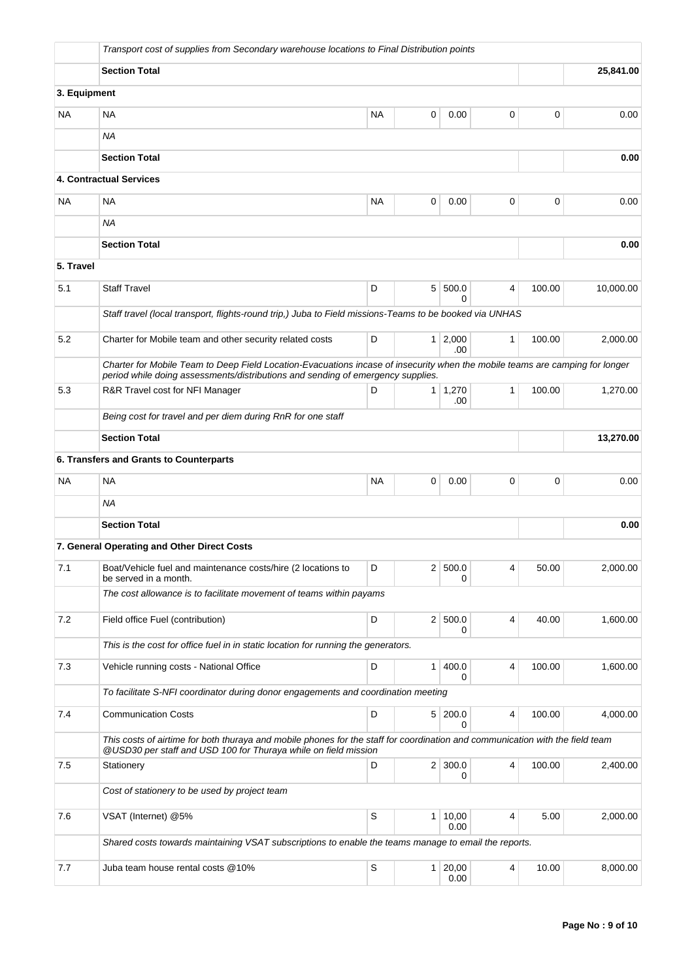|              | Transport cost of supplies from Secondary warehouse locations to Final Distribution points                                                                                                                      |           |                |                     |              |        |           |  |  |  |
|--------------|-----------------------------------------------------------------------------------------------------------------------------------------------------------------------------------------------------------------|-----------|----------------|---------------------|--------------|--------|-----------|--|--|--|
|              | <b>Section Total</b>                                                                                                                                                                                            |           |                |                     |              |        | 25,841.00 |  |  |  |
| 3. Equipment |                                                                                                                                                                                                                 |           |                |                     |              |        |           |  |  |  |
| <b>NA</b>    | NA                                                                                                                                                                                                              | NA        | 0              | 0.00                | 0            | 0      | 0.00      |  |  |  |
|              | <b>NA</b>                                                                                                                                                                                                       |           |                |                     |              |        |           |  |  |  |
|              | <b>Section Total</b>                                                                                                                                                                                            |           |                |                     |              |        | 0.00      |  |  |  |
|              | 4. Contractual Services                                                                                                                                                                                         |           |                |                     |              |        |           |  |  |  |
| <b>NA</b>    | <b>NA</b>                                                                                                                                                                                                       | <b>NA</b> | 0              | 0.00                | 0            | 0      | 0.00      |  |  |  |
|              | ΝA                                                                                                                                                                                                              |           |                |                     |              |        |           |  |  |  |
|              | <b>Section Total</b>                                                                                                                                                                                            |           |                |                     |              |        | 0.00      |  |  |  |
| 5. Travel    |                                                                                                                                                                                                                 |           |                |                     |              |        |           |  |  |  |
| 5.1          | <b>Staff Travel</b>                                                                                                                                                                                             | D         |                | 5 500.0<br>0        | 4            | 100.00 | 10,000.00 |  |  |  |
|              | Staff travel (local transport, flights-round trip,) Juba to Field missions-Teams to be booked via UNHAS                                                                                                         |           |                |                     |              |        |           |  |  |  |
| 5.2          | Charter for Mobile team and other security related costs                                                                                                                                                        | D         | $\mathbf{1}$   | 2,000<br>.00        | $\mathbf{1}$ | 100.00 | 2,000.00  |  |  |  |
|              | Charter for Mobile Team to Deep Field Location-Evacuations incase of insecurity when the mobile teams are camping for longer<br>period while doing assessments/distributions and sending of emergency supplies. |           |                |                     |              |        |           |  |  |  |
| 5.3          | R&R Travel cost for NFI Manager                                                                                                                                                                                 | D         |                | $1 \mid 1,270$      | $\mathbf{1}$ | 100.00 | 1,270.00  |  |  |  |
|              | .00<br>Being cost for travel and per diem during RnR for one staff                                                                                                                                              |           |                |                     |              |        |           |  |  |  |
|              | <b>Section Total</b>                                                                                                                                                                                            |           |                | 13,270.00           |              |        |           |  |  |  |
|              | 6. Transfers and Grants to Counterparts                                                                                                                                                                         |           |                |                     |              |        |           |  |  |  |
| <b>NA</b>    | <b>NA</b>                                                                                                                                                                                                       | NA        | 0              | 0.00                | 0            | 0      | 0.00      |  |  |  |
|              | ΝA                                                                                                                                                                                                              |           |                |                     |              |        |           |  |  |  |
|              | <b>Section Total</b>                                                                                                                                                                                            |           |                |                     |              |        | 0.00      |  |  |  |
|              | 7. General Operating and Other Direct Costs                                                                                                                                                                     |           |                |                     |              |        |           |  |  |  |
| 7.1          | Boat/Vehicle fuel and maintenance costs/hire (2 locations to<br>be served in a month.                                                                                                                           | D         |                | 2 500.0<br>0        | 4            | 50.00  | 2,000.00  |  |  |  |
|              | The cost allowance is to facilitate movement of teams within payams                                                                                                                                             |           |                |                     |              |        |           |  |  |  |
| 7.2          | Field office Fuel (contribution)                                                                                                                                                                                | D         | 2 <sup>1</sup> | 500.0<br>0          | 4            | 40.00  | 1,600.00  |  |  |  |
|              | This is the cost for office fuel in in static location for running the generators.                                                                                                                              |           |                |                     |              |        |           |  |  |  |
| 7.3          | Vehicle running costs - National Office                                                                                                                                                                         | D         | $\mathbf{1}$   | 400.0<br>0          | 4            | 100.00 | 1,600.00  |  |  |  |
|              | To facilitate S-NFI coordinator during donor engagements and coordination meeting                                                                                                                               |           |                |                     |              |        |           |  |  |  |
| 7.4          | <b>Communication Costs</b>                                                                                                                                                                                      | D         |                | 5 200.0<br>0        | 4            | 100.00 | 4,000.00  |  |  |  |
|              | This costs of airtime for both thuraya and mobile phones for the staff for coordination and communication with the field team<br>@USD30 per staff and USD 100 for Thuraya while on field mission                |           |                |                     |              |        |           |  |  |  |
| 7.5          | Stationery                                                                                                                                                                                                      | D         |                | $2 \mid 300.0$<br>0 | 4            | 100.00 | 2,400.00  |  |  |  |
|              | Cost of stationery to be used by project team                                                                                                                                                                   |           |                |                     |              |        |           |  |  |  |
| 7.6          | VSAT (Internet) @5%                                                                                                                                                                                             | S         | 1              | 10,00<br>0.00       | 4            | 5.00   | 2,000.00  |  |  |  |
|              | Shared costs towards maintaining VSAT subscriptions to enable the teams manage to email the reports.                                                                                                            |           |                |                     |              |        |           |  |  |  |
| 7.7          | Juba team house rental costs @10%                                                                                                                                                                               | S         |                | 1 20,00<br>0.00     | 4            | 10.00  | 8,000.00  |  |  |  |